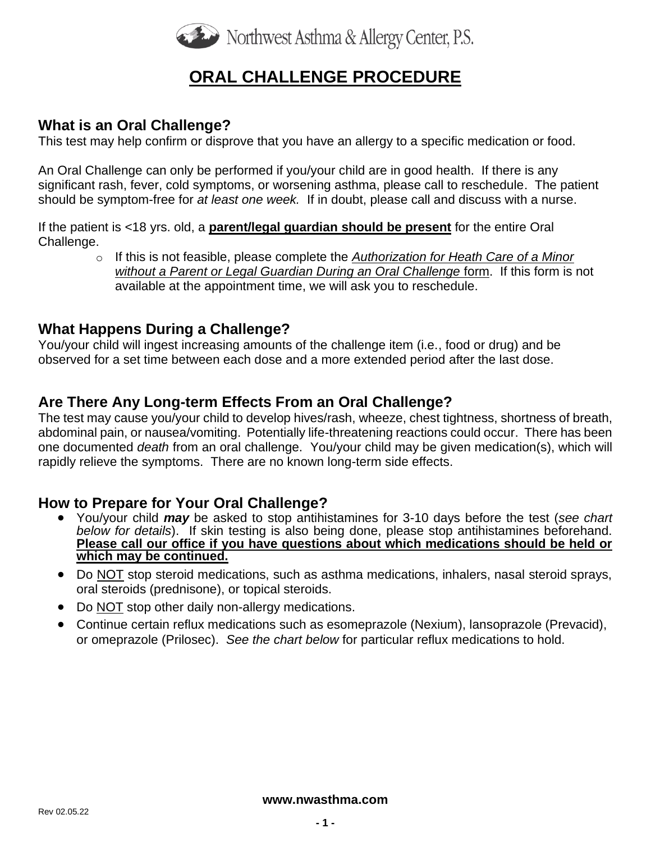

# **ORAL CHALLENGE PROCEDURE**

#### **What is an Oral Challenge?**

This test may help confirm or disprove that you have an allergy to a specific medication or food.

An Oral Challenge can only be performed if you/your child are in good health. If there is any significant rash, fever, cold symptoms, or worsening asthma, please call to reschedule. The patient should be symptom-free for *at least one week.* If in doubt, please call and discuss with a nurse.

If the patient is <18 yrs. old, a **parent/legal guardian should be present** for the entire Oral Challenge.

> o If this is not feasible, please complete the *[Authorization for Heath Care of a Minor](http://www.nwasthma.com/wp-content/uploads/2016/04/ORAL-FOOD-CHALLENGE-CONSENT-FORM-w-parent-authorization-for-other-caregiver-12.5.17.pdf)  [without a Parent or Legal Guardian During an Oral Challenge](http://www.nwasthma.com/wp-content/uploads/2016/04/ORAL-FOOD-CHALLENGE-CONSENT-FORM-w-parent-authorization-for-other-caregiver-12.5.17.pdf)* form. If this form is not available at the appointment time, we will ask you to reschedule.

#### **What Happens During a Challenge?**

You/your child will ingest increasing amounts of the challenge item (i.e., food or drug) and be observed for a set time between each dose and a more extended period after the last dose.

### **Are There Any Long-term Effects From an Oral Challenge?**

The test may cause you/your child to develop hives/rash, wheeze, chest tightness, shortness of breath, abdominal pain, or nausea/vomiting. Potentially life-threatening reactions could occur. There has been one documented *death* from an oral challenge. You/your child may be given medication(s), which will rapidly relieve the symptoms. There are no known long-term side effects.

#### **How to Prepare for Your Oral Challenge?**

- You/your child *may* be asked to stop antihistamines for 3-10 days before the test (*see chart below for details*). If skin testing is also being done, please stop antihistamines beforehand. **Please call our office if you have questions about which medications should be held or which may be continued.**
- Do NOT stop steroid medications, such as asthma medications, inhalers, nasal steroid sprays, oral steroids (prednisone), or topical steroids.
- Do **NOT** stop other daily non-allergy medications.
- Continue certain reflux medications such as esomeprazole (Nexium), lansoprazole (Prevacid), or omeprazole (Prilosec). *See the chart below* for particular reflux medications to hold.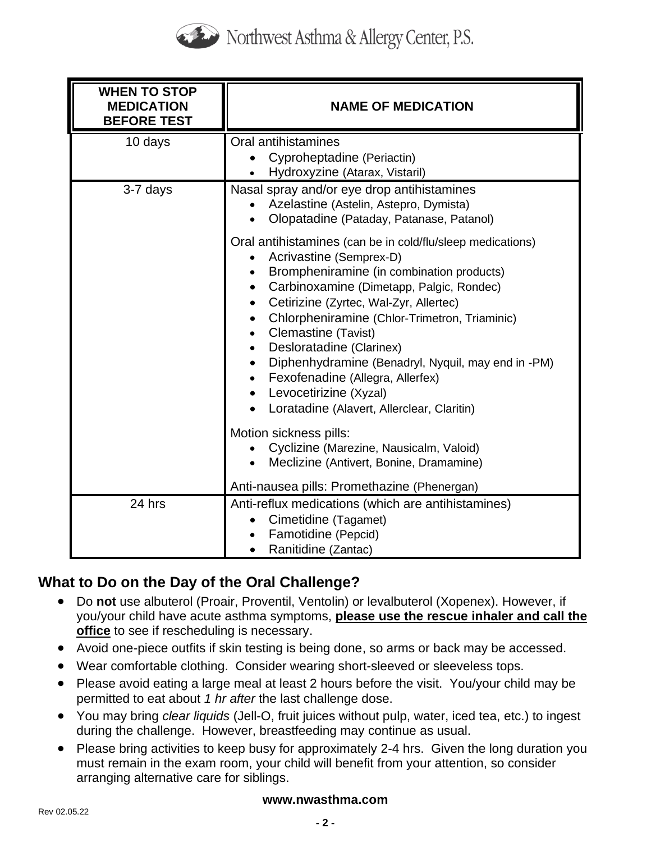

| <b>WHEN TO STOP</b><br><b>MEDICATION</b><br><b>BEFORE TEST</b> | <b>NAME OF MEDICATION</b>                                                                                                                                                                                                                                                                                                                                                                                                                                                                                                                                                                 |
|----------------------------------------------------------------|-------------------------------------------------------------------------------------------------------------------------------------------------------------------------------------------------------------------------------------------------------------------------------------------------------------------------------------------------------------------------------------------------------------------------------------------------------------------------------------------------------------------------------------------------------------------------------------------|
| 10 days                                                        | Oral antihistamines<br>Cyproheptadine (Periactin)<br>Hydroxyzine (Atarax, Vistaril)<br>$\bullet$                                                                                                                                                                                                                                                                                                                                                                                                                                                                                          |
| 3-7 days                                                       | Nasal spray and/or eye drop antihistamines<br>Azelastine (Astelin, Astepro, Dymista)<br>Olopatadine (Pataday, Patanase, Patanol)                                                                                                                                                                                                                                                                                                                                                                                                                                                          |
|                                                                | Oral antihistamines (can be in cold/flu/sleep medications)<br>Acrivastine (Semprex-D)<br>Brompheniramine (in combination products)<br>Carbinoxamine (Dimetapp, Palgic, Rondec)<br>$\bullet$<br>Cetirizine (Zyrtec, Wal-Zyr, Allertec)<br>$\bullet$<br>Chlorpheniramine (Chlor-Trimetron, Triaminic)<br>Clemastine (Tavist)<br>$\bullet$<br>Desloratadine (Clarinex)<br>$\bullet$<br>Diphenhydramine (Benadryl, Nyquil, may end in -PM)<br>$\bullet$<br>Fexofenadine (Allegra, Allerfex)<br>$\bullet$<br>Levocetirizine (Xyzal)<br>$\bullet$<br>Loratadine (Alavert, Allerclear, Claritin) |
|                                                                | Motion sickness pills:<br>Cyclizine (Marezine, Nausicalm, Valoid)<br>Meclizine (Antivert, Bonine, Dramamine)                                                                                                                                                                                                                                                                                                                                                                                                                                                                              |
|                                                                | Anti-nausea pills: Promethazine (Phenergan)                                                                                                                                                                                                                                                                                                                                                                                                                                                                                                                                               |
| 24 hrs                                                         | Anti-reflux medications (which are antihistamines)<br>Cimetidine (Tagamet)<br>Famotidine (Pepcid)<br>Ranitidine (Zantac)                                                                                                                                                                                                                                                                                                                                                                                                                                                                  |

## **What to Do on the Day of the Oral Challenge?**

- Do **not** use albuterol (Proair, Proventil, Ventolin) or levalbuterol (Xopenex). However, if you/your child have acute asthma symptoms, **please use the rescue inhaler and call the office** to see if rescheduling is necessary.
- Avoid one-piece outfits if skin testing is being done, so arms or back may be accessed.
- Wear comfortable clothing. Consider wearing short-sleeved or sleeveless tops.
- Please avoid eating a large meal at least 2 hours before the visit. You/your child may be permitted to eat about *1 hr after* the last challenge dose.
- You may bring *clear liquids* (Jell-O, fruit juices without pulp, water, iced tea, etc.) to ingest during the challenge. However, breastfeeding may continue as usual.
- Please bring activities to keep busy for approximately 2-4 hrs. Given the long duration you must remain in the exam room, your child will benefit from your attention, so consider arranging alternative care for siblings.

#### **www.nwasthma.com**